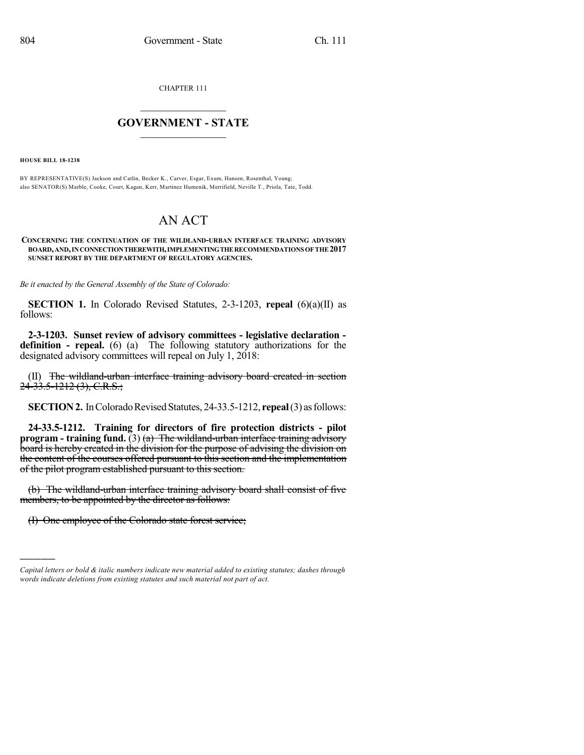CHAPTER 111

## $\mathcal{L}_\text{max}$  . The set of the set of the set of the set of the set of the set of the set of the set of the set of the set of the set of the set of the set of the set of the set of the set of the set of the set of the set **GOVERNMENT - STATE**  $\_$

**HOUSE BILL 18-1238**

)))))

BY REPRESENTATIVE(S) Jackson and Catlin, Becker K., Carver, Esgar, Exum, Hansen, Rosenthal, Young; also SENATOR(S) Marble, Cooke, Court, Kagan, Kerr, Martinez Humenik, Merrifield, Neville T., Priola, Tate, Todd.

## AN ACT

## **CONCERNING THE CONTINUATION OF THE WILDLAND-URBAN INTERFACE TRAINING ADVISORY BOARD,AND,INCONNECTIONTHEREWITH,IMPLEMENTINGTHERECOMMENDATIONSOFTHE2017 SUNSET REPORT BY THE DEPARTMENT OF REGULATORY AGENCIES.**

*Be it enacted by the General Assembly of the State of Colorado:*

**SECTION 1.** In Colorado Revised Statutes, 2-3-1203, **repeal** (6)(a)(II) as follows:

**2-3-1203. Sunset review of advisory committees - legislative declaration definition - repeal.** (6) (a) The following statutory authorizations for the designated advisory committees will repeal on July 1, 2018:

(II) The wildland-urban interface training advisory board created in section 24-33.5-1212 (3), C.R.S.;

**SECTION 2.** In Colorado Revised Statutes, 24-33.5-1212, **repeal** (3) as follows:

**24-33.5-1212. Training for directors of fire protection districts - pilot program - training fund.** (3) (a) The wildland-urban interface training advisory board is hereby created in the division for the purpose of advising the division on the content of the courses offered pursuant to this section and the implementation of the pilot program established pursuant to this section.

(b) The wildland-urban interface training advisory board shall consist of five members, to be appointed by the director as follows:

(I) One employee of the Colorado state forest service;

*Capital letters or bold & italic numbers indicate new material added to existing statutes; dashes through words indicate deletions from existing statutes and such material not part of act.*